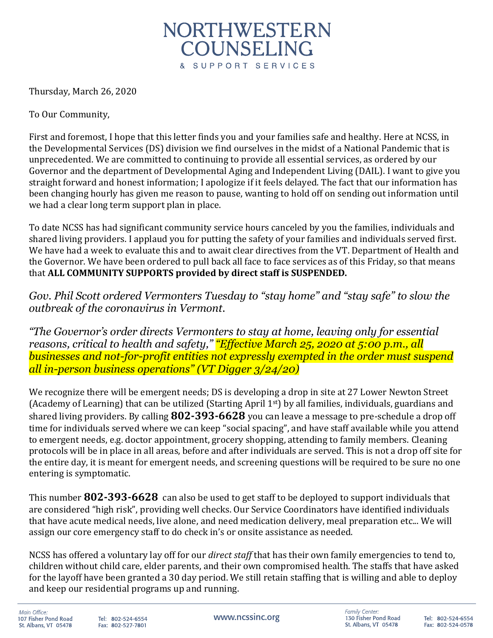

Thursday, March 26, 2020

To Our Community,

First and foremost, I hope that this letter finds you and your families safe and healthy. Here at NCSS, in the Developmental Services (DS) division we find ourselves in the midst of a National Pandemic that is unprecedented. We are committed to continuing to provide all essential services, as ordered by our Governor and the department of Developmental Aging and Independent Living (DAIL). I want to give you straight forward and honest information; I apologize if it feels delayed. The fact that our information has been changing hourly has given me reason to pause, wanting to hold off on sending out information until we had a clear long term support plan in place.

To date NCSS has had significant community service hours canceled by you the families, individuals and shared living providers. I applaud you for putting the safety of your families and individuals served first. We have had a week to evaluate this and to await clear directives from the VT. Department of Health and the Governor. We have been ordered to pull back all face to face services as of this Friday, so that means that **ALL COMMUNITY SUPPORTS provided by direct staff is SUSPENDED.**

*Gov. Phil Scott ordered Vermonters Tuesday to "stay home" and "stay safe" to slow the outbreak of the coronavirus in Vermont.*

*"The Governor's order directs Vermonters to stay at home, leaving only for essential reasons, critical to health and safety," "Effective March 25, 2020 at 5:00 p.m., all businesses and not-for-profit entities not expressly exempted in the order must suspend all in-person business operations" (VT Digger 3/24/20)*

We recognize there will be emergent needs; DS is developing a drop in site at 27 Lower Newton Street (Academy of Learning) that can be utilized (Starting April 1st) by all families, individuals, guardians and shared living providers. By calling **802-393-6628** you can leave a message to pre-schedule a drop off time for individuals served where we can keep "social spacing", and have staff available while you attend to emergent needs, e.g. doctor appointment, grocery shopping, attending to family members. Cleaning protocols will be in place in all areas, before and after individuals are served. This is not a drop off site for the entire day, it is meant for emergent needs, and screening questions will be required to be sure no one entering is symptomatic.

This number **802-393-6628** can also be used to get staff to be deployed to support individuals that are considered "high risk", providing well checks. Our Service Coordinators have identified individuals that have acute medical needs, live alone, and need medication delivery, meal preparation etc... We will assign our core emergency staff to do check in's or onsite assistance as needed.

NCSS has offered a voluntary lay off for our *direct staff* that has their own family emergencies to tend to, children without child care, elder parents, and their own compromised health. The staffs that have asked for the layoff have been granted a 30 day period. We still retain staffing that is willing and able to deploy and keep our residential programs up and running.

Main Office 107 Fisher Pond Road St. Albans, VT 05478